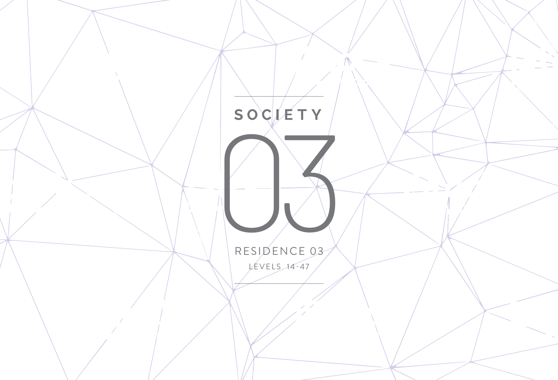